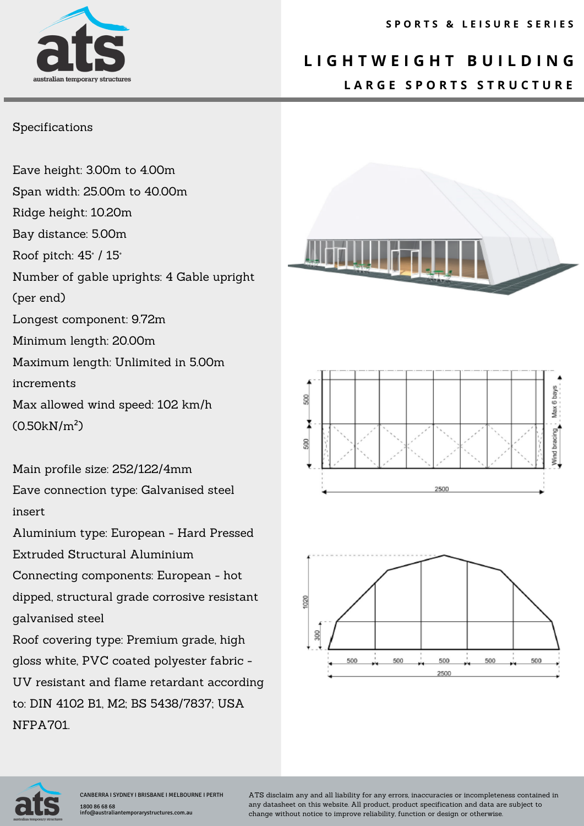# australian temporary

### **L I G H T W E I G H T B U I L D I N G L A R G E S P O R T S S T R U C T U R E**

#### Specifications

Eave height: 3.00m to 4.00m Span width: 25.00m to 40.00m Ridge height: 10.20m Bay distance: 5.00m Roof pitch: 45° / 15° Number of gable uprights: 4 Gable upright (per end) Longest component: 9.72m Minimum length: 20.00m Maximum length: Unlimited in 5.00m increments Max allowed wind speed: 102 km/h (0.50kN/m²)

Main profile size: 252/122/4mm Eave connection type: Galvanised steel insert

Aluminium type: European - Hard Pressed Extruded Structural Aluminium

Connecting components: European - hot dipped, structural grade corrosive resistant galvanised steel

Roof covering type: Premium grade, high gloss white, PVC coated polyester fabric - UV resistant and flame retardant according to: DIN 4102 B1, M2; BS 5438/7837; USA NFPA701.









ATS disclaim any and all liability for any errors, inaccuracies or incompleteness contained in any datasheet on this website. All product, product specification and data are subject to change without notice to improve reliability, function or design or otherwise.